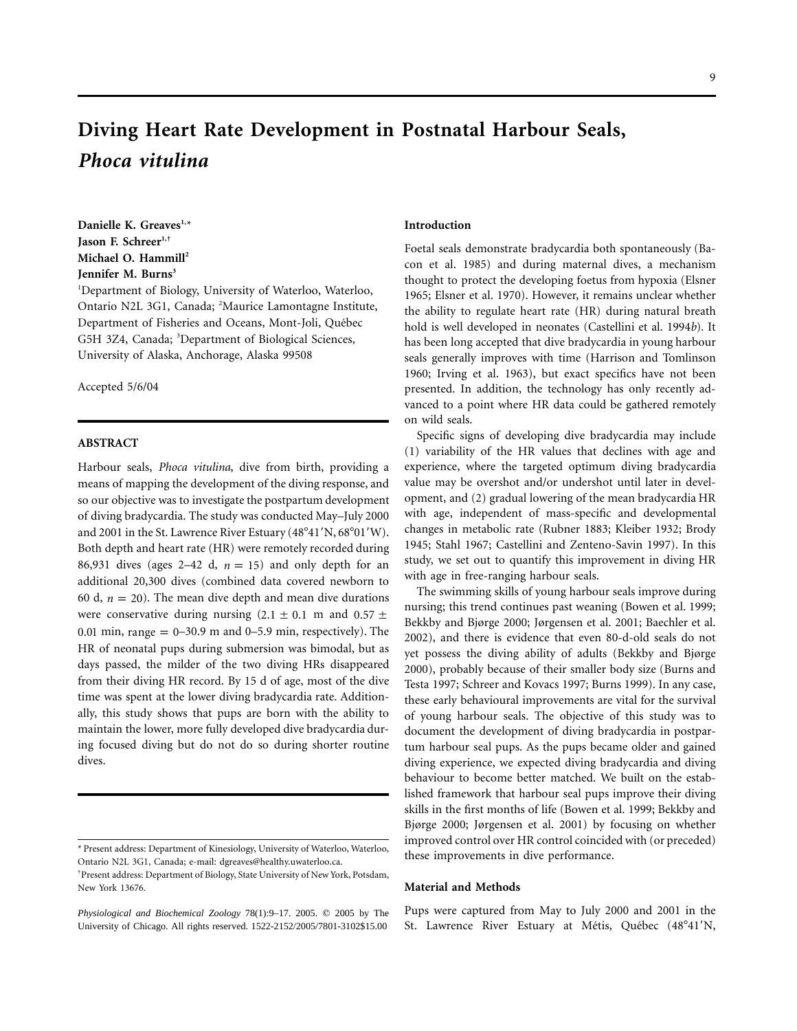# **Diving Heart Rate Development in Postnatal Harbour Seals,** *Phoca vitulina*

Danielle K. Greaves<sup>1,\*</sup> Jason F. Schreer<sup>1,†</sup> **Michael O. Hammill2** Jennifer M. Burns<sup>3</sup>

1 Department of Biology, University of Waterloo, Waterloo, Ontario N2L 3G1, Canada; <sup>2</sup>Maurice Lamontagne Institute, Department of Fisheries and Oceans, Mont-Joli, Québec G5H 3Z4, Canada; <sup>3</sup>Department of Biological Sciences, University of Alaska, Anchorage, Alaska 99508

Accepted 5/6/04

## **ABSTRACT**

Harbour seals, *Phoca vitulina*, dive from birth, providing a means of mapping the development of the diving response, and so our objective was to investigate the postpartum development of diving bradycardia. The study was conducted May–July 2000 and 2001 in the St. Lawrence River Estuary  $(48^{\circ}41'N, 68^{\circ}01'W)$ . Both depth and heart rate (HR) were remotely recorded during 86,931 dives (ages 2–42 d,  $n = 15$ ) and only depth for an additional 20,300 dives (combined data covered newborn to 60 d,  $n = 20$ ). The mean dive depth and mean dive durations were conservative during nursing (2.1  $\pm$  0.1 m and 0.57  $\pm$ 0.01 min, range  $= 0-30.9$  m and 0–5.9 min, respectively). The HR of neonatal pups during submersion was bimodal, but as days passed, the milder of the two diving HRs disappeared from their diving HR record. By 15 d of age, most of the dive time was spent at the lower diving bradycardia rate. Additionally, this study shows that pups are born with the ability to maintain the lower, more fully developed dive bradycardia during focused diving but do not do so during shorter routine dives.

#### **Introduction**

Foetal seals demonstrate bradycardia both spontaneously (Bacon et al. 1985) and during maternal dives, a mechanism thought to protect the developing foetus from hypoxia (Elsner 1965; Elsner et al. 1970). However, it remains unclear whether the ability to regulate heart rate (HR) during natural breath hold is well developed in neonates (Castellini et al. 1994*b*). It has been long accepted that dive bradycardia in young harbour seals generally improves with time (Harrison and Tomlinson 1960; Irving et al. 1963), but exact specifics have not been presented. In addition, the technology has only recently advanced to a point where HR data could be gathered remotely on wild seals.

Specific signs of developing dive bradycardia may include (1) variability of the HR values that declines with age and experience, where the targeted optimum diving bradycardia value may be overshot and/or undershot until later in development, and (2) gradual lowering of the mean bradycardia HR with age, independent of mass-specific and developmental changes in metabolic rate (Rubner 1883; Kleiber 1932; Brody 1945; Stahl 1967; Castellini and Zenteno-Savin 1997). In this study, we set out to quantify this improvement in diving HR with age in free-ranging harbour seals.

The swimming skills of young harbour seals improve during nursing; this trend continues past weaning (Bowen et al. 1999; Bekkby and Bjørge 2000; Jørgensen et al. 2001; Baechler et al. 2002), and there is evidence that even 80-d-old seals do not yet possess the diving ability of adults (Bekkby and Bjørge 2000), probably because of their smaller body size (Burns and Testa 1997; Schreer and Kovacs 1997; Burns 1999). In any case, these early behavioural improvements are vital for the survival of young harbour seals. The objective of this study was to document the development of diving bradycardia in postpartum harbour seal pups. As the pups became older and gained diving experience, we expected diving bradycardia and diving behaviour to become better matched. We built on the established framework that harbour seal pups improve their diving skills in the first months of life (Bowen et al. 1999; Bekkby and Bjørge 2000; Jørgensen et al. 2001) by focusing on whether improved control over HR control coincided with (or preceded) these improvements in dive performance.

### **Material and Methods**

Pups were captured from May to July 2000 and 2001 in the St. Lawrence River Estuary at Métis, Québec (48°41'N,

<sup>\*</sup> Present address: Department of Kinesiology, University of Waterloo, Waterloo, Ontario N2L 3G1, Canada; e-mail: dgreaves@healthy.uwaterloo.ca.

<sup>†</sup> Present address: Department of Biology, State University of New York, Potsdam, New York 13676.

*Physiological and Biochemical Zoology* 78(1):9-17. 2005.  $©$  2005 by The University of Chicago. All rights reserved. 1522-2152/2005/7801-3102\$15.00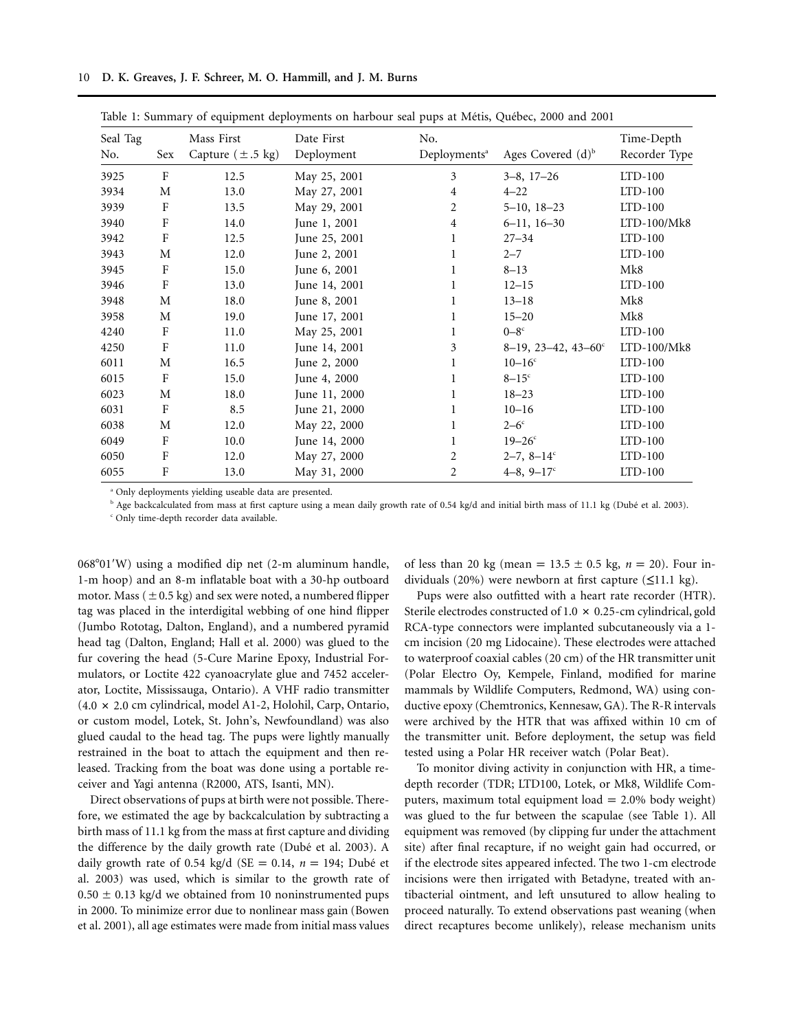|  |  |  |  |  |  |  | 10 D. K. Greaves, J. F. Schreer, M. O. Hammill, and J. M. Burns |  |  |  |  |
|--|--|--|--|--|--|--|-----------------------------------------------------------------|--|--|--|--|
|--|--|--|--|--|--|--|-----------------------------------------------------------------|--|--|--|--|

| Seal Tag | Mass First |                               | Date First    | No.                      |                                    |               |  |
|----------|------------|-------------------------------|---------------|--------------------------|------------------------------------|---------------|--|
| No.      | Sex        | Capture $(\pm .5 \text{ kg})$ | Deployment    | Deployments <sup>a</sup> | Ages Covered $(d)^b$               | Recorder Type |  |
| 3925     | F          | 12.5                          | May 25, 2001  | 3                        | $3-8$ , $17-26$                    | $LTD-100$     |  |
| 3934     | М          | 13.0                          | May 27, 2001  | $\overline{4}$           | $4 - 22$                           | $LTD-100$     |  |
| 3939     | F          | 13.5                          | May 29, 2001  | 2                        | $5 - 10, 18 - 23$                  | $LTD-100$     |  |
| 3940     | F          | 14.0                          | June 1, 2001  | 4                        | $6-11, 16-30$                      | $LTD-100/Mk8$ |  |
| 3942     | F          | 12.5                          | June 25, 2001 | 1                        | $27 - 34$                          | $LTD-100$     |  |
| 3943     | М          | 12.0                          | June 2, 2001  | 1                        | $2 - 7$                            | $LTD-100$     |  |
| 3945     | F          | 15.0                          | June 6, 2001  | 1                        | $8 - 13$                           | Mk8           |  |
| 3946     | F          | 13.0                          | June 14, 2001 | 1                        | $12 - 15$                          | $LTD-100$     |  |
| 3948     | M          | 18.0                          | June 8, 2001  | $\mathbf{1}$             | $13 - 18$                          | Mk8           |  |
| 3958     | М          | 19.0                          | June 17, 2001 |                          | $15 - 20$                          | Mk8           |  |
| 4240     | F          | 11.0                          | May 25, 2001  | 1                        | $0-8^\circ$                        | $LTD-100$     |  |
| 4250     | F          | 11.0                          | June 14, 2001 | 3                        | $8-19$ , 23-42, 43-60 <sup>c</sup> | LTD-100/Mk8   |  |
| 6011     | M          | 16.5                          | June 2, 2000  | 1                        | $10 - 16^{\circ}$                  | $LTD-100$     |  |
| 6015     | F          | 15.0                          | June 4, 2000  | $\mathbf{1}$             | $8-15$ <sup>c</sup>                | $LTD-100$     |  |
| 6023     | М          | 18.0                          | June 11, 2000 |                          | $18 - 23$                          | $LTD-100$     |  |
| 6031     | F          | 8.5                           | June 21, 2000 | 1                        | $10 - 16$                          | $LTD-100$     |  |
| 6038     | М          | 12.0                          | May 22, 2000  | $\mathbf{1}$             | $2-6^\circ$                        | $LTD-100$     |  |
| 6049     | F          | 10.0                          | June 14, 2000 | 1                        | $19 - 26^{\circ}$                  | $LTD-100$     |  |
| 6050     | F          | 12.0                          | May 27, 2000  | 2                        | $2-7, 8-14$ °                      | $LTD-100$     |  |
| 6055     | F          | 13.0                          | May 31, 2000  | 2                        | $4-8, 9-17$ °                      | $LTD-100$     |  |

Table 1: Summary of equipment deployments on harbour seal pups at Métis, Québec, 2000 and 2001

<sup>a</sup> Only deployments yielding useable data are presented.

<sup>b</sup> Age backcalculated from mass at first capture using a mean daily growth rate of 0.54 kg/d and initial birth mass of 11.1 kg (Dubé et al. 2003).

<sup>c</sup> Only time-depth recorder data available.

068°01'W) using a modified dip net (2-m aluminum handle, 1-m hoop) and an 8-m inflatable boat with a 30-hp outboard motor. Mass ( $\pm$  0.5 kg) and sex were noted, a numbered flipper tag was placed in the interdigital webbing of one hind flipper (Jumbo Rototag, Dalton, England), and a numbered pyramid head tag (Dalton, England; Hall et al. 2000) was glued to the fur covering the head (5-Cure Marine Epoxy, Industrial Formulators, or Loctite 422 cyanoacrylate glue and 7452 accelerator, Loctite, Mississauga, Ontario). A VHF radio transmitter  $(4.0 \times 2.0 \text{ cm}$  cylindrical, model A1-2, Holohil, Carp, Ontario, or custom model, Lotek, St. John's, Newfoundland) was also glued caudal to the head tag. The pups were lightly manually restrained in the boat to attach the equipment and then released. Tracking from the boat was done using a portable receiver and Yagi antenna (R2000, ATS, Isanti, MN).

Direct observations of pups at birth were not possible. Therefore, we estimated the age by backcalculation by subtracting a birth mass of 11.1 kg from the mass at first capture and dividing the difference by the daily growth rate (Dubé et al. 2003). A daily growth rate of 0.54 kg/d ( $SE = 0.14$ ,  $n = 194$ ; Dubé et al. 2003) was used, which is similar to the growth rate of  $0.50 \pm 0.13$  kg/d we obtained from 10 noninstrumented pups in 2000. To minimize error due to nonlinear mass gain (Bowen et al. 2001), all age estimates were made from initial mass values

of less than 20 kg (mean =  $13.5 \pm 0.5$  kg,  $n = 20$ ). Four individuals (20%) were newborn at first capture  $(\leq 11.1 \text{ kg})$ .

Pups were also outfitted with a heart rate recorder (HTR). Sterile electrodes constructed of  $1.0 \times 0.25$ -cm cylindrical, gold RCA-type connectors were implanted subcutaneously via a 1 cm incision (20 mg Lidocaine). These electrodes were attached to waterproof coaxial cables (20 cm) of the HR transmitter unit (Polar Electro Oy, Kempele, Finland, modified for marine mammals by Wildlife Computers, Redmond, WA) using conductive epoxy (Chemtronics, Kennesaw, GA). The R-R intervals were archived by the HTR that was affixed within 10 cm of the transmitter unit. Before deployment, the setup was field tested using a Polar HR receiver watch (Polar Beat).

To monitor diving activity in conjunction with HR, a timedepth recorder (TDR; LTD100, Lotek, or Mk8, Wildlife Computers, maximum total equipment  $load = 2.0\%$  body weight) was glued to the fur between the scapulae (see Table 1). All equipment was removed (by clipping fur under the attachment site) after final recapture, if no weight gain had occurred, or if the electrode sites appeared infected. The two 1-cm electrode incisions were then irrigated with Betadyne, treated with antibacterial ointment, and left unsutured to allow healing to proceed naturally. To extend observations past weaning (when direct recaptures become unlikely), release mechanism units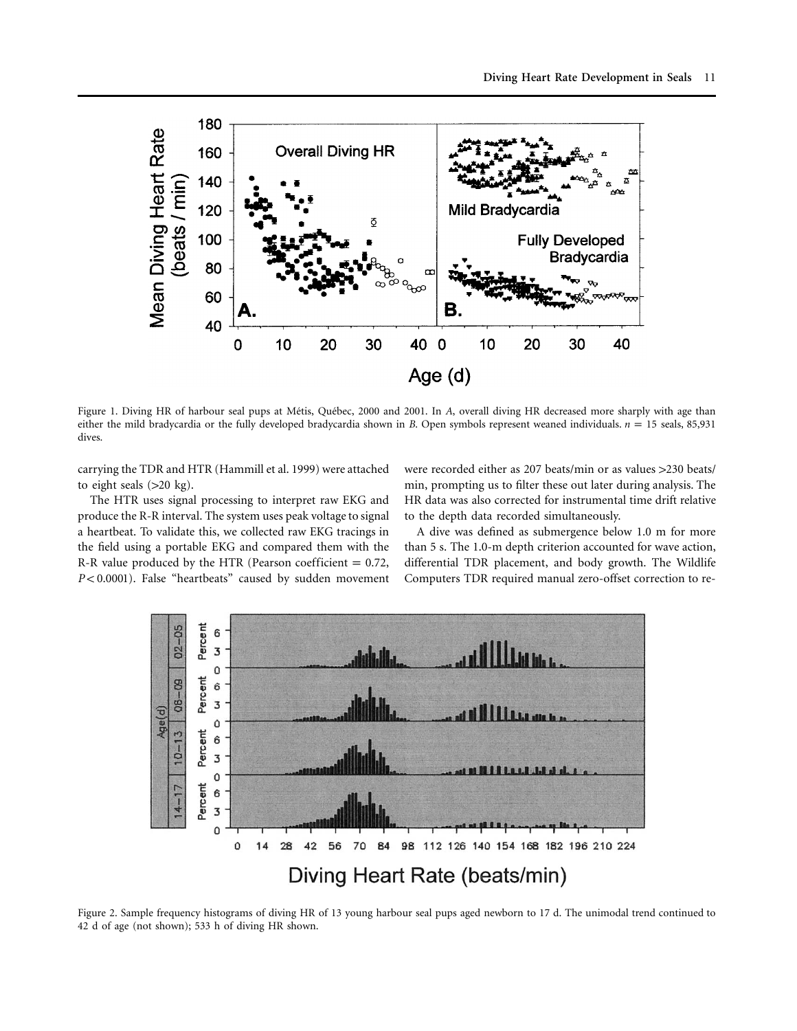

Figure 1. Diving HR of harbour seal pups at Métis, Québec, 2000 and 2001. In *A*, overall diving HR decreased more sharply with age than either the mild bradycardia or the fully developed bradycardia shown in *B*. Open symbols represent weaned individuals.  $n = 15$  seals, 85,931 dives.

carrying the TDR and HTR (Hammill et al. 1999) were attached to eight seals  $(>20 \text{ kg})$ .

The HTR uses signal processing to interpret raw EKG and produce the R-R interval. The system uses peak voltage to signal a heartbeat. To validate this, we collected raw EKG tracings in the field using a portable EKG and compared them with the R-R value produced by the HTR (Pearson coefficient  $= 0.72$ , *P* < 0.0001). False "heartbeats" caused by sudden movement were recorded either as 207 beats/min or as values > 230 beats/ min, prompting us to filter these out later during analysis. The HR data was also corrected for instrumental time drift relative to the depth data recorded simultaneously.

A dive was defined as submergence below 1.0 m for more than 5 s. The 1.0-m depth criterion accounted for wave action, differential TDR placement, and body growth. The Wildlife Computers TDR required manual zero-offset correction to re-



Figure 2. Sample frequency histograms of diving HR of 13 young harbour seal pups aged newborn to 17 d. The unimodal trend continued to 42 d of age (not shown); 533 h of diving HR shown.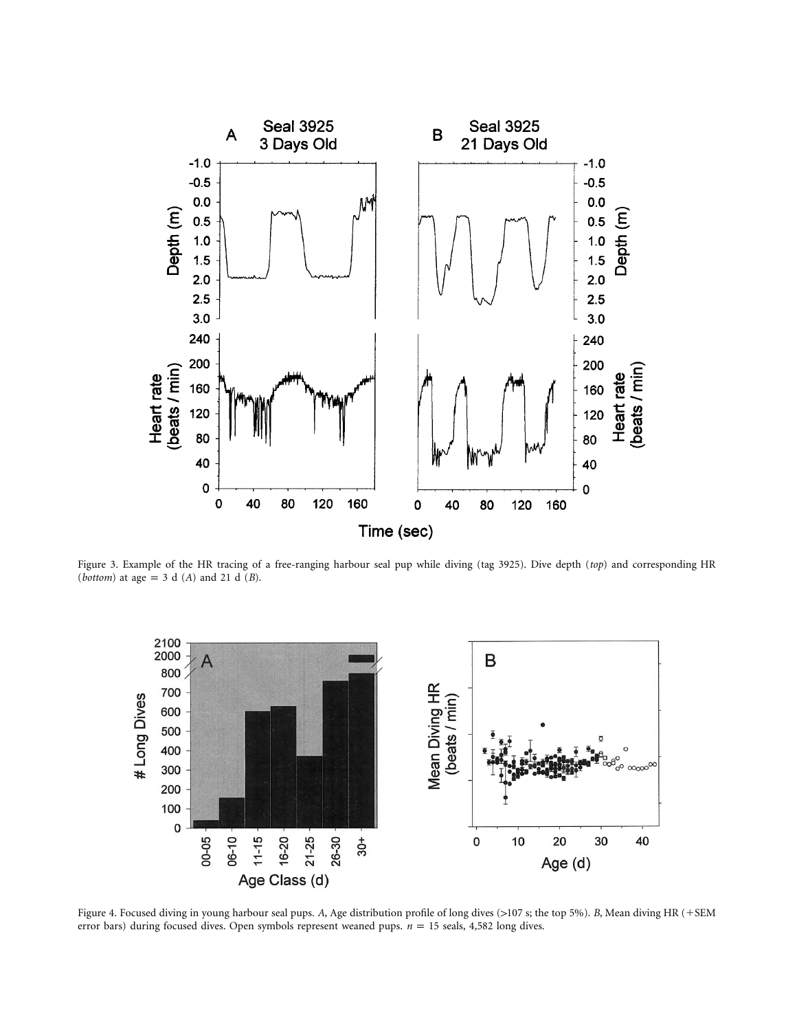

Figure 3. Example of the HR tracing of a free-ranging harbour seal pup while diving (tag 3925). Dive depth (*top*) and corresponding HR (*bottom*) at age = 3 d (*A*) and 21 d (*B*).



Figure 4. Focused diving in young harbour seal pups. A, Age distribution profile of long dives (>107 s; the top 5%). *B*, Mean diving HR (+SEM error bars) during focused dives. Open symbols represent weaned pups.  $n = 15$  seals, 4,582 long dives.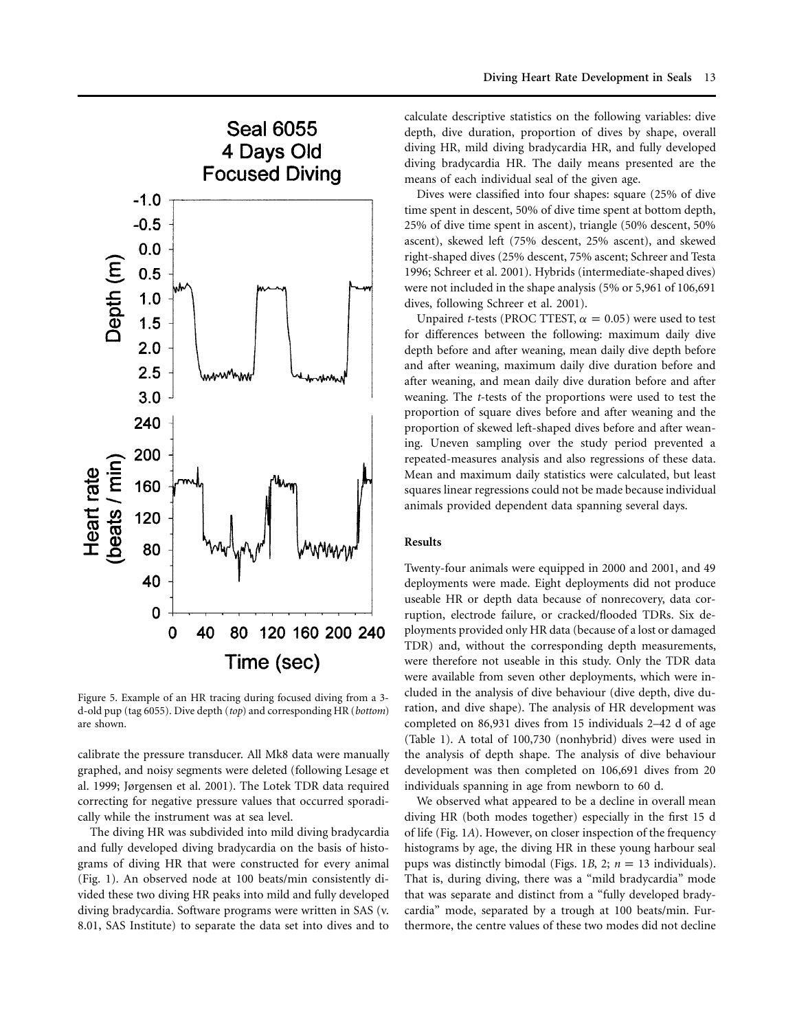

Figure 5. Example of an HR tracing during focused diving from a 3 d-old pup (tag 6055). Dive depth (*top*) and corresponding HR (*bottom*) are shown.

calibrate the pressure transducer. All Mk8 data were manually graphed, and noisy segments were deleted (following Lesage et al. 1999; Jørgensen et al. 2001). The Lotek TDR data required correcting for negative pressure values that occurred sporadically while the instrument was at sea level.

The diving HR was subdivided into mild diving bradycardia and fully developed diving bradycardia on the basis of histograms of diving HR that were constructed for every animal (Fig. 1). An observed node at 100 beats/min consistently divided these two diving HR peaks into mild and fully developed diving bradycardia. Software programs were written in SAS (v. 8.01, SAS Institute) to separate the data set into dives and to

calculate descriptive statistics on the following variables: dive depth, dive duration, proportion of dives by shape, overall diving HR, mild diving bradycardia HR, and fully developed diving bradycardia HR. The daily means presented are the means of each individual seal of the given age.

Dives were classified into four shapes: square (25% of dive time spent in descent, 50% of dive time spent at bottom depth, 25% of dive time spent in ascent), triangle (50% descent, 50% ascent), skewed left (75% descent, 25% ascent), and skewed right-shaped dives (25% descent, 75% ascent; Schreer and Testa 1996; Schreer et al. 2001). Hybrids (intermediate-shaped dives) were not included in the shape analysis (5% or 5,961 of 106,691 dives, following Schreer et al. 2001).

Unpaired *t*-tests (PROC TTEST,  $\alpha = 0.05$ ) were used to test for differences between the following: maximum daily dive depth before and after weaning, mean daily dive depth before and after weaning, maximum daily dive duration before and after weaning, and mean daily dive duration before and after weaning. The *t*-tests of the proportions were used to test the proportion of square dives before and after weaning and the proportion of skewed left-shaped dives before and after weaning. Uneven sampling over the study period prevented a repeated-measures analysis and also regressions of these data. Mean and maximum daily statistics were calculated, but least squares linear regressions could not be made because individual animals provided dependent data spanning several days.

#### **Results**

Twenty-four animals were equipped in 2000 and 2001, and 49 deployments were made. Eight deployments did not produce useable HR or depth data because of nonrecovery, data corruption, electrode failure, or cracked/flooded TDRs. Six deployments provided only HR data (because of a lost or damaged TDR) and, without the corresponding depth measurements, were therefore not useable in this study. Only the TDR data were available from seven other deployments, which were included in the analysis of dive behaviour (dive depth, dive duration, and dive shape). The analysis of HR development was completed on 86,931 dives from 15 individuals 2–42 d of age (Table 1). A total of 100,730 (nonhybrid) dives were used in the analysis of depth shape. The analysis of dive behaviour development was then completed on 106,691 dives from 20 individuals spanning in age from newborn to 60 d.

We observed what appeared to be a decline in overall mean diving HR (both modes together) especially in the first 15 d of life (Fig. 1*A*). However, on closer inspection of the frequency histograms by age, the diving HR in these young harbour seal pups was distinctly bimodal (Figs. 1*B*, 2;  $n = 13$  individuals). That is, during diving, there was a "mild bradycardia" mode that was separate and distinct from a "fully developed bradycardia" mode, separated by a trough at 100 beats/min. Furthermore, the centre values of these two modes did not decline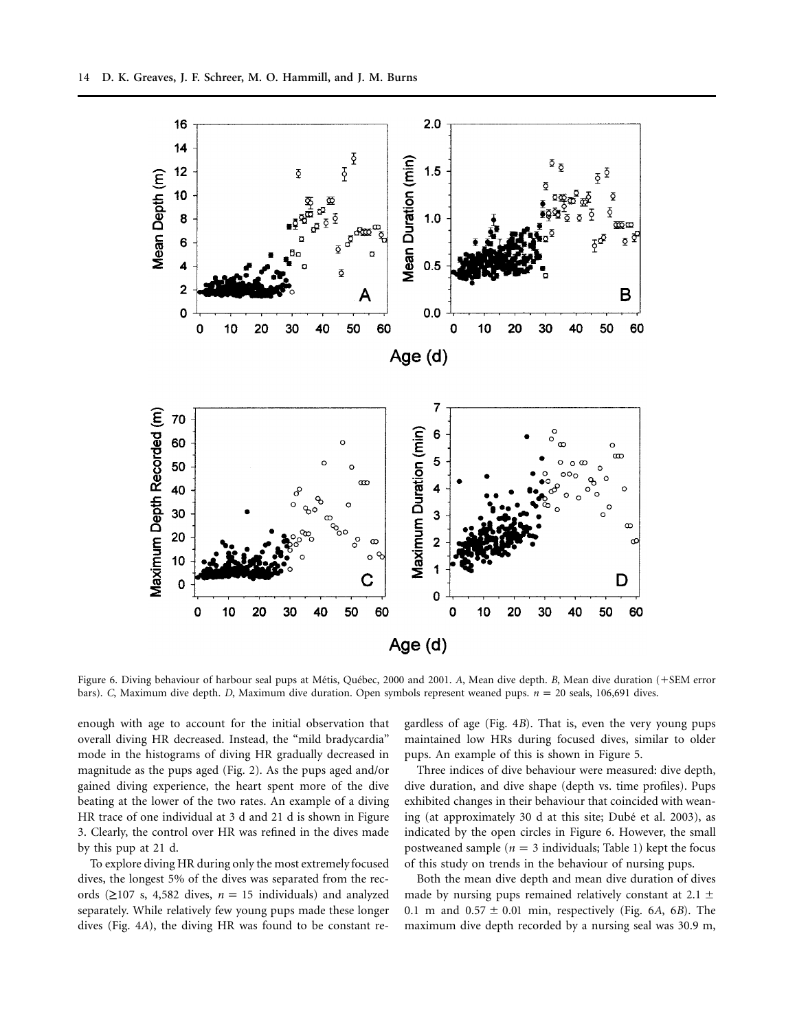

Figure 6. Diving behaviour of harbour seal pups at Métis, Québec, 2000 and 2001. *A*, Mean dive depth. *B*, Mean dive duration (+SEM error bars). *C*, Maximum dive depth. *D*, Maximum dive duration. Open symbols represent weaned pups.  $n = 20$  seals, 106,691 dives.

enough with age to account for the initial observation that overall diving HR decreased. Instead, the "mild bradycardia" mode in the histograms of diving HR gradually decreased in magnitude as the pups aged (Fig. 2). As the pups aged and/or gained diving experience, the heart spent more of the dive beating at the lower of the two rates. An example of a diving HR trace of one individual at 3 d and 21 d is shown in Figure 3. Clearly, the control over HR was refined in the dives made by this pup at 21 d.

To explore diving HR during only the most extremely focused dives, the longest 5% of the dives was separated from the records  $(≥107 s, 4,582 dives, n = 15 individuals)$  and analyzed separately. While relatively few young pups made these longer dives (Fig. 4*A*), the diving HR was found to be constant re-

gardless of age (Fig. 4*B*). That is, even the very young pups maintained low HRs during focused dives, similar to older pups. An example of this is shown in Figure 5.

Three indices of dive behaviour were measured: dive depth, dive duration, and dive shape (depth vs. time profiles). Pups exhibited changes in their behaviour that coincided with weaning (at approximately 30 d at this site; Dubé et al. 2003), as indicated by the open circles in Figure 6. However, the small postweaned sample ( $n = 3$  individuals; Table 1) kept the focus of this study on trends in the behaviour of nursing pups.

Both the mean dive depth and mean dive duration of dives made by nursing pups remained relatively constant at 2.1  $\pm$ 0.1 m and  $0.57 \pm 0.01$  min, respectively (Fig. 6A, 6B). The maximum dive depth recorded by a nursing seal was 30.9 m,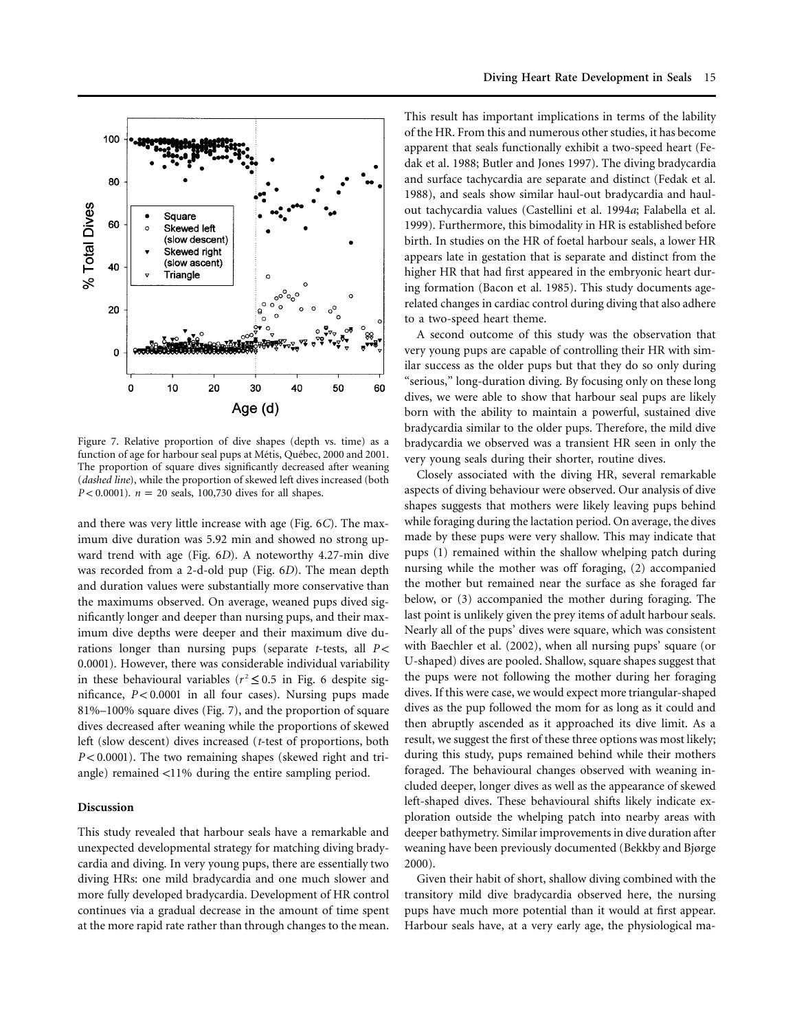

Figure 7. Relative proportion of dive shapes (depth vs. time) as a function of age for harbour seal pups at Métis, Québec, 2000 and 2001. The proportion of square dives significantly decreased after weaning (*dashed line*), while the proportion of skewed left dives increased (both *P* < 0.0001).  $n = 20$  seals, 100,730 dives for all shapes.

and there was very little increase with age (Fig. 6*C*). The maximum dive duration was 5.92 min and showed no strong upward trend with age (Fig. 6*D*). A noteworthy 4.27-min dive was recorded from a 2-d-old pup (Fig. 6*D*). The mean depth and duration values were substantially more conservative than the maximums observed. On average, weaned pups dived significantly longer and deeper than nursing pups, and their maximum dive depths were deeper and their maximum dive durations longer than nursing pups (separate *t*-tests, all *P* < 0.0001). However, there was considerable individual variability in these behavioural variables ( $r^2 \leq 0.5$  in Fig. 6 despite significance,  $P < 0.0001$  in all four cases). Nursing pups made 81%–100% square dives (Fig. 7), and the proportion of square dives decreased after weaning while the proportions of skewed left (slow descent) dives increased (*t*-test of proportions, both *P* < 0.0001). The two remaining shapes (skewed right and triangle) remained  $<$ 11% during the entire sampling period.

## **Discussion**

This study revealed that harbour seals have a remarkable and unexpected developmental strategy for matching diving bradycardia and diving. In very young pups, there are essentially two diving HRs: one mild bradycardia and one much slower and more fully developed bradycardia. Development of HR control continues via a gradual decrease in the amount of time spent at the more rapid rate rather than through changes to the mean.

This result has important implications in terms of the lability of the HR. From this and numerous other studies, it has become apparent that seals functionally exhibit a two-speed heart (Fedak et al. 1988; Butler and Jones 1997). The diving bradycardia and surface tachycardia are separate and distinct (Fedak et al. 1988), and seals show similar haul-out bradycardia and haulout tachycardia values (Castellini et al. 1994*a*; Falabella et al. 1999). Furthermore, this bimodality in HR is established before birth. In studies on the HR of foetal harbour seals, a lower HR appears late in gestation that is separate and distinct from the higher HR that had first appeared in the embryonic heart during formation (Bacon et al. 1985). This study documents agerelated changes in cardiac control during diving that also adhere to a two-speed heart theme.

A second outcome of this study was the observation that very young pups are capable of controlling their HR with similar success as the older pups but that they do so only during "serious," long-duration diving. By focusing only on these long dives, we were able to show that harbour seal pups are likely born with the ability to maintain a powerful, sustained dive bradycardia similar to the older pups. Therefore, the mild dive bradycardia we observed was a transient HR seen in only the very young seals during their shorter, routine dives.

Closely associated with the diving HR, several remarkable aspects of diving behaviour were observed. Our analysis of dive shapes suggests that mothers were likely leaving pups behind while foraging during the lactation period. On average, the dives made by these pups were very shallow. This may indicate that pups (1) remained within the shallow whelping patch during nursing while the mother was off foraging, (2) accompanied the mother but remained near the surface as she foraged far below, or (3) accompanied the mother during foraging. The last point is unlikely given the prey items of adult harbour seals. Nearly all of the pups' dives were square, which was consistent with Baechler et al. (2002), when all nursing pups' square (or U-shaped) dives are pooled. Shallow, square shapes suggest that the pups were not following the mother during her foraging dives. If this were case, we would expect more triangular-shaped dives as the pup followed the mom for as long as it could and then abruptly ascended as it approached its dive limit. As a result, we suggest the first of these three options was most likely; during this study, pups remained behind while their mothers foraged. The behavioural changes observed with weaning included deeper, longer dives as well as the appearance of skewed left-shaped dives. These behavioural shifts likely indicate exploration outside the whelping patch into nearby areas with deeper bathymetry. Similar improvements in dive duration after weaning have been previously documented (Bekkby and Bjørge 2000).

Given their habit of short, shallow diving combined with the transitory mild dive bradycardia observed here, the nursing pups have much more potential than it would at first appear. Harbour seals have, at a very early age, the physiological ma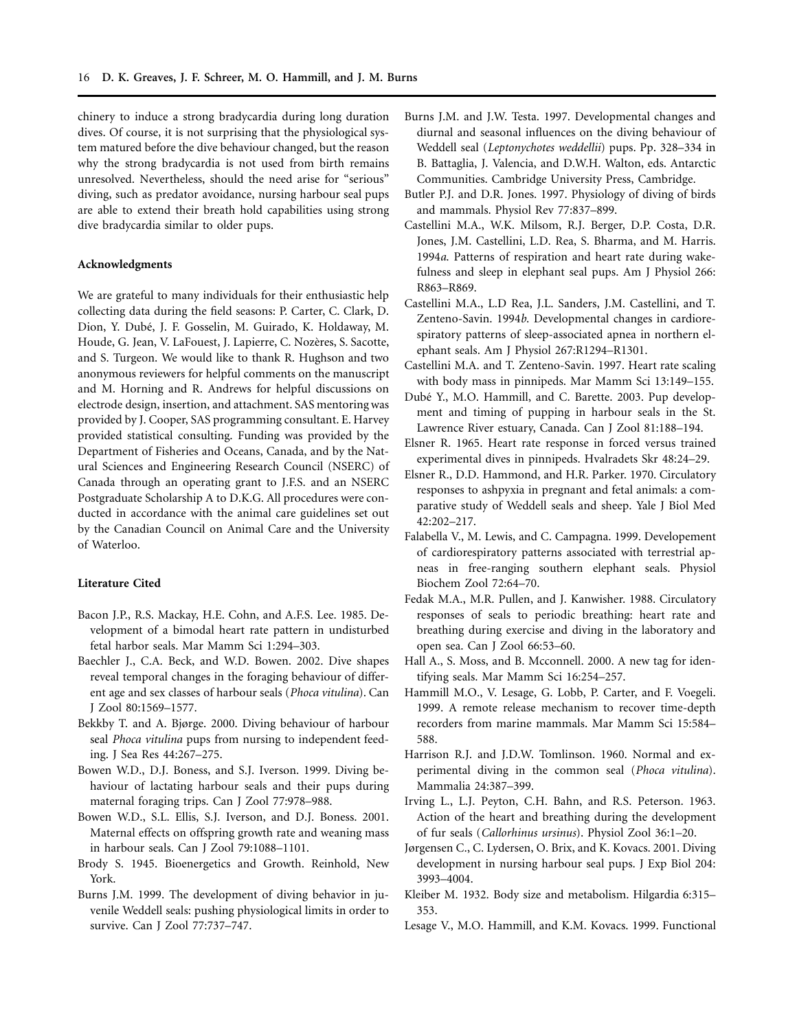chinery to induce a strong bradycardia during long duration dives. Of course, it is not surprising that the physiological system matured before the dive behaviour changed, but the reason why the strong bradycardia is not used from birth remains unresolved. Nevertheless, should the need arise for "serious" diving, such as predator avoidance, nursing harbour seal pups are able to extend their breath hold capabilities using strong dive bradycardia similar to older pups.

# **Acknowledgments**

We are grateful to many individuals for their enthusiastic help collecting data during the field seasons: P. Carter, C. Clark, D. Dion, Y. Dubé, J. F. Gosselin, M. Guirado, K. Holdaway, M. Houde, G. Jean, V. LaFouest, J. Lapierre, C. Nozères, S. Sacotte, and S. Turgeon. We would like to thank R. Hughson and two anonymous reviewers for helpful comments on the manuscript and M. Horning and R. Andrews for helpful discussions on electrode design, insertion, and attachment. SAS mentoring was provided by J. Cooper, SAS programming consultant. E. Harvey provided statistical consulting. Funding was provided by the Department of Fisheries and Oceans, Canada, and by the Natural Sciences and Engineering Research Council (NSERC) of Canada through an operating grant to J.F.S. and an NSERC Postgraduate Scholarship A to D.K.G. All procedures were conducted in accordance with the animal care guidelines set out by the Canadian Council on Animal Care and the University of Waterloo.

#### **Literature Cited**

- Bacon J.P., R.S. Mackay, H.E. Cohn, and A.F.S. Lee. 1985. Development of a bimodal heart rate pattern in undisturbed fetal harbor seals. Mar Mamm Sci 1:294–303.
- Baechler J., C.A. Beck, and W.D. Bowen. 2002. Dive shapes reveal temporal changes in the foraging behaviour of different age and sex classes of harbour seals (*Phoca vitulina*). Can J Zool 80:1569–1577.
- Bekkby T. and A. Bjørge. 2000. Diving behaviour of harbour seal *Phoca vitulina* pups from nursing to independent feeding. J Sea Res 44:267–275.
- Bowen W.D., D.J. Boness, and S.J. Iverson. 1999. Diving behaviour of lactating harbour seals and their pups during maternal foraging trips. Can J Zool 77:978–988.
- Bowen W.D., S.L. Ellis, S.J. Iverson, and D.J. Boness. 2001. Maternal effects on offspring growth rate and weaning mass in harbour seals. Can J Zool 79:1088–1101.
- Brody S. 1945. Bioenergetics and Growth. Reinhold, New York.
- Burns J.M. 1999. The development of diving behavior in juvenile Weddell seals: pushing physiological limits in order to survive. Can J Zool 77:737–747.
- Burns J.M. and J.W. Testa. 1997. Developmental changes and diurnal and seasonal influences on the diving behaviour of Weddell seal (*Leptonychotes weddellii*) pups. Pp. 328–334 in B. Battaglia, J. Valencia, and D.W.H. Walton, eds. Antarctic Communities. Cambridge University Press, Cambridge.
- Butler P.J. and D.R. Jones. 1997. Physiology of diving of birds and mammals. Physiol Rev 77:837–899.
- Castellini M.A., W.K. Milsom, R.J. Berger, D.P. Costa, D.R. Jones, J.M. Castellini, L.D. Rea, S. Bharma, and M. Harris. 1994*a*. Patterns of respiration and heart rate during wakefulness and sleep in elephant seal pups. Am J Physiol 266: R863–R869.
- Castellini M.A., L.D Rea, J.L. Sanders, J.M. Castellini, and T. Zenteno-Savin. 1994*b*. Developmental changes in cardiorespiratory patterns of sleep-associated apnea in northern elephant seals. Am J Physiol 267:R1294–R1301.
- Castellini M.A. and T. Zenteno-Savin. 1997. Heart rate scaling with body mass in pinnipeds. Mar Mamm Sci 13:149–155.
- Dubé Y., M.O. Hammill, and C. Barette. 2003. Pup development and timing of pupping in harbour seals in the St. Lawrence River estuary, Canada. Can J Zool 81:188–194.
- Elsner R. 1965. Heart rate response in forced versus trained experimental dives in pinnipeds. Hvalradets Skr 48:24–29.
- Elsner R., D.D. Hammond, and H.R. Parker. 1970. Circulatory responses to ashpyxia in pregnant and fetal animals: a comparative study of Weddell seals and sheep. Yale J Biol Med 42:202–217.
- Falabella V., M. Lewis, and C. Campagna. 1999. Developement of cardiorespiratory patterns associated with terrestrial apneas in free-ranging southern elephant seals. Physiol Biochem Zool 72:64–70.
- Fedak M.A., M.R. Pullen, and J. Kanwisher. 1988. Circulatory responses of seals to periodic breathing: heart rate and breathing during exercise and diving in the laboratory and open sea. Can J Zool 66:53–60.
- Hall A., S. Moss, and B. Mcconnell. 2000. A new tag for identifying seals. Mar Mamm Sci 16:254–257.
- Hammill M.O., V. Lesage, G. Lobb, P. Carter, and F. Voegeli. 1999. A remote release mechanism to recover time-depth recorders from marine mammals. Mar Mamm Sci 15:584– 588.
- Harrison R.J. and J.D.W. Tomlinson. 1960. Normal and experimental diving in the common seal (*Phoca vitulina*). Mammalia 24:387–399.
- Irving L., L.J. Peyton, C.H. Bahn, and R.S. Peterson. 1963. Action of the heart and breathing during the development of fur seals (*Callorhinus ursinus*). Physiol Zool 36:1–20.
- Jørgensen C., C. Lydersen, O. Brix, and K. Kovacs. 2001. Diving development in nursing harbour seal pups. J Exp Biol 204: 3993–4004.
- Kleiber M. 1932. Body size and metabolism. Hilgardia 6:315– 353.
- Lesage V., M.O. Hammill, and K.M. Kovacs. 1999. Functional